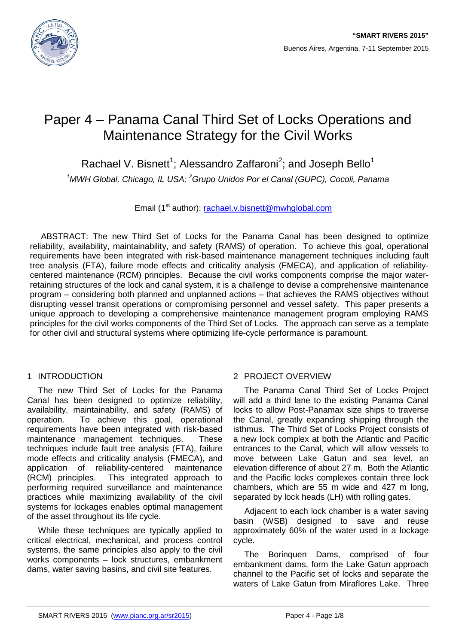

# Paper 4 – Panama Canal Third Set of Locks Operations and Maintenance Strategy for the Civil Works

Rachael V. Bisnett<sup>1</sup>; Alessandro Zaffaroni<sup>2</sup>; and Joseph Bello<sup>1</sup>

<sup>1</sup>MWH Global, Chicago, IL USA; <sup>2</sup> Grupo Unidos Por el Canal (GUPC), Cocoli, Panama

Email (1<sup>st</sup> author): [rachael.v.bisnett@mwhglobal.com](mailto:rachael.v.bisnett@mwhglobal.com)

ABSTRACT: The new Third Set of Locks for the Panama Canal has been designed to optimize reliability, availability, maintainability, and safety (RAMS) of operation. To achieve this goal, operational requirements have been integrated with risk-based maintenance management techniques including fault tree analysis (FTA), failure mode effects and criticality analysis (FMECA), and application of reliabilitycentered maintenance (RCM) principles. Because the civil works components comprise the major waterretaining structures of the lock and canal system, it is a challenge to devise a comprehensive maintenance program – considering both planned and unplanned actions – that achieves the RAMS objectives without disrupting vessel transit operations or compromising personnel and vessel safety. This paper presents a unique approach to developing a comprehensive maintenance management program employing RAMS principles for the civil works components of the Third Set of Locks. The approach can serve as a template for other civil and structural systems where optimizing life-cycle performance is paramount.

# 1 INTRODUCTION

The new Third Set of Locks for the Panama Canal has been designed to optimize reliability, availability, maintainability, and safety (RAMS) of operation. To achieve this goal, operational requirements have been integrated with risk-based maintenance management techniques. These techniques include fault tree analysis (FTA), failure mode effects and criticality analysis (FMECA), and application of reliability-centered maintenance (RCM) principles. This integrated approach to performing required surveillance and maintenance practices while maximizing availability of the civil systems for lockages enables optimal management of the asset throughout its life cycle.

While these techniques are typically applied to critical electrical, mechanical, and process control systems, the same principles also apply to the civil works components – lock structures, embankment dams, water saving basins, and civil site features.

# 2 PROJECT OVERVIEW

The Panama Canal Third Set of Locks Project will add a third lane to the existing Panama Canal locks to allow Post-Panamax size ships to traverse the Canal, greatly expanding shipping through the isthmus. The Third Set of Locks Project consists of a new lock complex at both the Atlantic and Pacific entrances to the Canal, which will allow vessels to move between Lake Gatun and sea level, an elevation difference of about 27 m. Both the Atlantic and the Pacific locks complexes contain three lock chambers, which are 55 m wide and 427 m long, separated by lock heads (LH) with rolling gates.

Adjacent to each lock chamber is a water saving basin (WSB) designed to save and reuse approximately 60% of the water used in a lockage cycle.

The Borinquen Dams, comprised of four embankment dams, form the Lake Gatun approach channel to the Pacific set of locks and separate the waters of Lake Gatun from Miraflores Lake. Three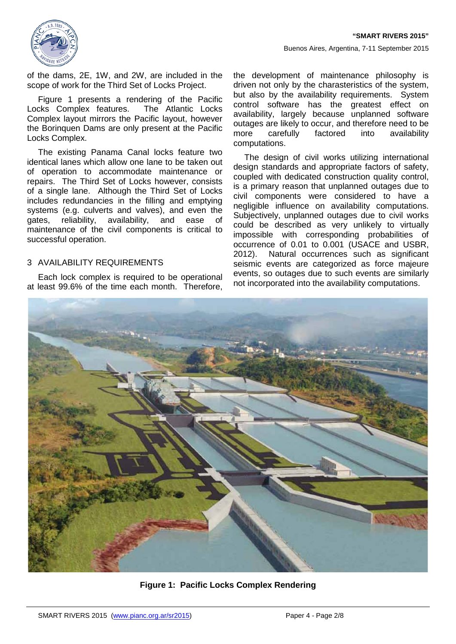

of the dams, 2E, 1W, and 2W, are included in the scope of work for the Third Set of Locks Project.

[Figure 1](#page-1-0) presents a rendering of the Pacific Locks Complex features. The Atlantic Locks Complex layout mirrors the Pacific layout, however the Borinquen Dams are only present at the Pacific Locks Complex.

The existing Panama Canal locks feature two identical lanes which allow one lane to be taken out of operation to accommodate maintenance or repairs. The Third Set of Locks however, consists of a single lane. Although the Third Set of Locks includes redundancies in the filling and emptying systems (e.g. culverts and valves), and even the gates, reliability, availability, and ease of maintenance of the civil components is critical to successful operation.

## 3 AVAILABILITY REQUIREMENTS

Each lock complex is required to be operational at least 99.6% of the time each month. Therefore,

the development of maintenance philosophy is driven not only by the charasteristics of the system, but also by the availability requirements. System control software has the greatest effect on availability, largely because unplanned software outages are likely to occur, and therefore need to be more carefully factored into availability computations.

The design of civil works utilizing international design standards and appropriate factors of safety, coupled with dedicated construction quality control, is a primary reason that unplanned outages due to civil components were considered to have a negligible influence on availability computations. Subjectively, unplanned outages due to civil works could be described as very unlikely to virtually impossible with corresponding probabilities of occurrence of 0.01 to 0.001 (USACE and USBR, 2012). Natural occurrences such as significant seismic events are categorized as force majeure events, so outages due to such events are similarly not incorporated into the availability computations.

<span id="page-1-0"></span>

**Figure 1: Pacific Locks Complex Rendering**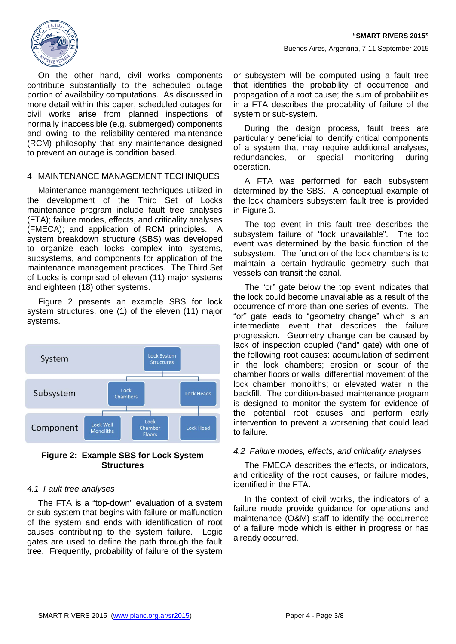

On the other hand, civil works components contribute substantially to the scheduled outage portion of availability computations. As discussed in more detail within this paper, scheduled outages for civil works arise from planned inspections of normally inaccessible (e.g. submerged) components and owing to the reliability-centered maintenance (RCM) philosophy that any maintenance designed to prevent an outage is condition based.

## 4 MAINTENANCE MANAGEMENT TECHNIQUES

Maintenance management techniques utilized in the development of the Third Set of Locks maintenance program include fault tree analyses (FTA); failure modes, effects, and criticality analyses (FMECA); and application of RCM principles. A system breakdown structure (SBS) was developed to organize each locks complex into systems, subsystems, and components for application of the maintenance management practices. The Third Set of Locks is comprised of eleven (11) major systems and eighteen (18) other systems.

[Figure 2](#page-2-0) presents an example SBS for lock system structures, one (1) of the eleven (11) major systems.



<span id="page-2-0"></span>**Figure 2: Example SBS for Lock System Structures**

## *4.1 Fault tree analyses*

The FTA is a "top-down" evaluation of a system or sub-system that begins with failure or malfunction of the system and ends with identification of root causes contributing to the system failure. Logic gates are used to define the path through the fault tree. Frequently, probability of failure of the system

or subsystem will be computed using a fault tree that identifies the probability of occurrence and propagation of a root cause; the sum of probabilities in a FTA describes the probability of failure of the system or sub-system.

During the design process, fault trees are particularly beneficial to identify critical components of a system that may require additional analyses, redundancies, or special monitoring during operation.

A FTA was performed for each subsystem determined by the SBS. A conceptual example of the lock chambers subsystem fault tree is provided in Figure 3.

The top event in this fault tree describes the subsystem failure of "lock unavailable". The top event was determined by the basic function of the subsystem. The function of the lock chambers is to maintain a certain hydraulic geometry such that vessels can transit the canal.

The "or" gate below the top event indicates that the lock could become unavailable as a result of the occurrence of more than one series of events. The "or" gate leads to "geometry change" which is an intermediate event that describes the failure progression. Geometry change can be caused by lack of inspection coupled ("and" gate) with one of the following root causes: accumulation of sediment in the lock chambers; erosion or scour of the chamber floors or walls; differential movement of the lock chamber monoliths; or elevated water in the backfill. The condition-based maintenance program is designed to monitor the system for evidence of the potential root causes and perform early intervention to prevent a worsening that could lead to failure.

## *4.2 Failure modes, effects, and criticality analyses*

The FMECA describes the effects, or indicators, and criticality of the root causes, or failure modes, identified in the FTA.

In the context of civil works, the indicators of a failure mode provide guidance for operations and maintenance (O&M) staff to identify the occurrence of a failure mode which is either in progress or has already occurred.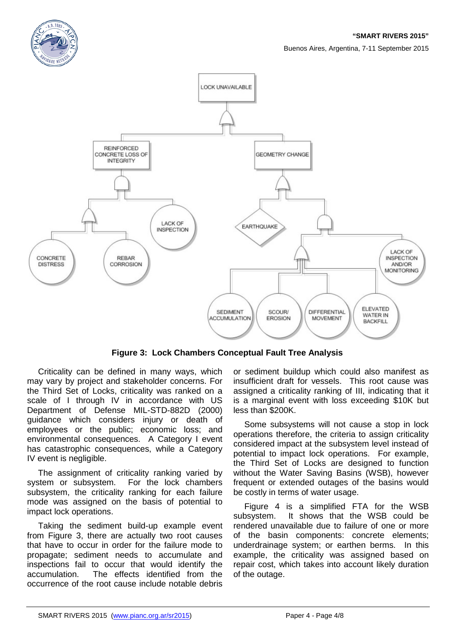



**Figure 3: Lock Chambers Conceptual Fault Tree Analysis**

<span id="page-3-0"></span>Criticality can be defined in many ways, which may vary by project and stakeholder concerns. For the Third Set of Locks, criticality was ranked on a scale of I through IV in accordance with US Department of Defense MIL-STD-882D (2000) guidance which considers injury or death of employees or the public; economic loss; and environmental consequences. A Category I event has catastrophic consequences, while a Category IV event is negligible.

The assignment of criticality ranking varied by system or subsystem. For the lock chambers subsystem, the criticality ranking for each failure mode was assigned on the basis of potential to impact lock operations.

Taking the sediment build-up example event from [Figure 3,](#page-3-0) there are actually two root causes that have to occur in order for the failure mode to propagate; sediment needs to accumulate and inspections fail to occur that would identify the accumulation. The effects identified from the occurrence of the root cause include notable debris

or sediment buildup which could also manifest as insufficient draft for vessels. This root cause was assigned a criticality ranking of III, indicating that it is a marginal event with loss exceeding \$10K but less than \$200K.

Some subsystems will not cause a stop in lock operations therefore, the criteria to assign criticality considered impact at the subsystem level instead of potential to impact lock operations. For example, the Third Set of Locks are designed to function without the Water Saving Basins (WSB), however frequent or extended outages of the basins would be costly in terms of water usage.

[Figure 4](#page-4-0) is a simplified FTA for the WSB subsystem. It shows that the WSB could be rendered unavailable due to failure of one or more of the basin components: concrete elements; underdrainage system; or earthen berms. In this example, the criticality was assigned based on repair cost, which takes into account likely duration of the outage.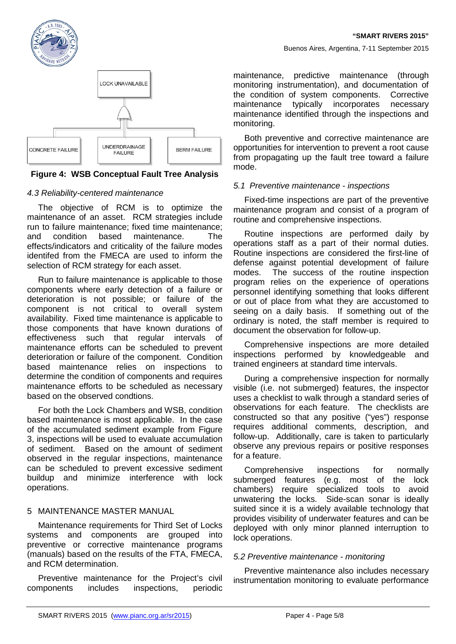



## <span id="page-4-0"></span>**Figure 4: WSB Conceptual Fault Tree Analysis**

## *4.3 Reliability-centered maintenance*

The objective of RCM is to optimize the maintenance of an asset. RCM strategies include run to failure maintenance; fixed time maintenance; and condition based maintenance. The effects/indicators and criticality of the failure modes identifed from the FMECA are used to inform the selection of RCM strategy for each asset.

Run to failure maintenance is applicable to those components where early detection of a failure or deterioration is not possible; or failure of the component is not critical to overall system availability. Fixed time maintenance is applicable to those components that have known durations of effectiveness such that regular intervals of maintenance efforts can be scheduled to prevent deterioration or failure of the component. Condition based maintenance relies on inspections to determine the condition of components and requires maintenance efforts to be scheduled as necessary based on the observed condtions.

For both the Lock Chambers and WSB, condition based maintenance is most applicable. In the case of the accumulated sediment example from Figure 3, inspections will be used to evaluate accumulation of sediment. Based on the amount of sediment observed in the regular inspections, maintenance can be scheduled to prevent excessive sediment buildup and minimize interference with lock operations.

## 5 MAINTENANCE MASTER MANUAL

Maintenance requirements for Third Set of Locks systems and components are grouped into preventive or corrective maintenance programs (manuals) based on the results of the FTA, FMECA, and RCM determination.

Preventive maintenance for the Project's civil components includes inspections, periodic

maintenance, predictive maintenance (through monitoring instrumentation), and documentation of the condition of system components. Corrective maintenance typically incorporates necessary maintenance identified through the inspections and monitoring.

Both preventive and corrective maintenance are opportunities for intervention to prevent a root cause from propagating up the fault tree toward a failure mode.

#### *5.1 Preventive maintenance - inspections*

Fixed-time inspections are part of the preventive maintenance program and consist of a program of routine and comprehensive inspections.

Routine inspections are performed daily by operations staff as a part of their normal duties. Routine inspections are considered the first-line of defense against potential development of failure modes. The success of the routine inspection program relies on the experience of operations personnel identifying something that looks different or out of place from what they are accustomed to seeing on a daily basis. If something out of the ordinary is noted, the staff member is required to document the observation for follow-up.

Comprehensive inspections are more detailed inspections performed by knowledgeable and trained engineers at standard time intervals.

During a comprehensive inspection for normally visible (i.e. not submerged) features, the inspector uses a checklist to walk through a standard series of observations for each feature. The checklists are constructed so that any positive ("yes") response requires additional comments, description, and follow-up. Additionally, care is taken to particularly observe any previous repairs or positive responses for a feature.

Comprehensive inspections for normally submerged features (e.g. most of the lock chambers) require specialized tools to avoid unwatering the locks. Side-scan sonar is ideally suited since it is a widely available technology that provides visibility of underwater features and can be deployed with only minor planned interruption to lock operations.

## *5.2 Preventive maintenance - monitoring*

Preventive maintenance also includes necessary instrumentation monitoring to evaluate performance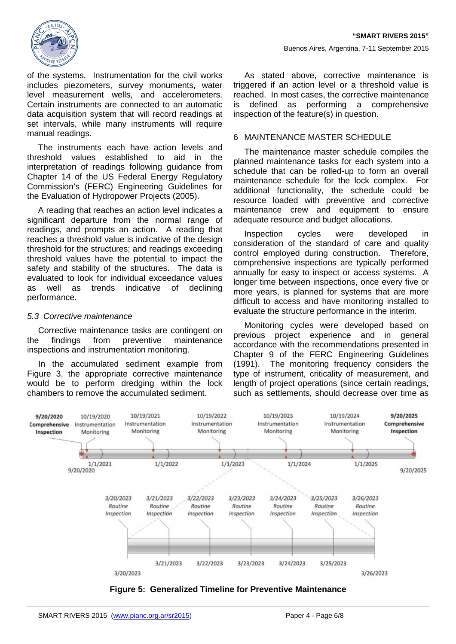

of the systems. Instrumentation for the civil works includes piezometers, survey monuments, water level measurement wells, and accelerometers. Certain instruments are connected to an automatic data acquisition system that will record readings at set intervals, while many instruments will require manual readings.

The instruments each have action levels and threshold values established to aid in the interpretation of readings following guidance from Chapter 14 of the US Federal Energy Regulatory Commission's (FERC) Engineering Guidelines for the Evaluation of Hydropower Projects (2005).

A reading that reaches an action level indicates a significant departure from the normal range of readings, and prompts an action. A reading that reaches a threshold value is indicative of the design threshold for the structures; and readings exceeding threshold values have the potential to impact the safety and stability of the structures. The data is evaluated to look for individual exceedance values as well as trends indicative of declining performance.

#### *5.3 Corrective maintenance*

Corrective maintenance tasks are contingent on the findings from preventive maintenance inspections and instrumentation monitoring.

In the accumulated sediment example from [Figure 3,](#page-3-0) the appropriate corrective maintenance would be to perform dredging within the lock chambers to remove the accumulated sediment.

As stated above, corrective maintenance is triggered if an action level or a threshold value is reached. In most cases, the corrective maintenance is defined as performing a comprehensive inspection of the feature(s) in question.

#### 6 MAINTENANCE MASTER SCHEDULE

The maintenance master schedule compiles the planned maintenance tasks for each system into a schedule that can be rolled-up to form an overall maintenance schedule for the lock complex. For additional functionality, the schedule could be resource loaded with preventive and corrective maintenance crew and equipment to ensure adequate resource and budget allocations.

Inspection cycles were developed in consideration of the standard of care and quality control employed during construction. Therefore, comprehensive inspections are typically performed annually for easy to inspect or access systems. A longer time between inspections, once every five or more years, is planned for systems that are more difficult to access and have monitoring installed to evaluate the structure performance in the interim.

Monitoring cycles were developed based on previous project experience and in general accordance with the recommendations presented in Chapter 9 of the FERC Engineering Guidelines (1991). The monitoring frequency considers the type of instrument, criticality of measurement, and length of project operations (since certain readings, such as settlements, should decrease over time as



<span id="page-5-0"></span>**Figure 5: Generalized Timeline for Preventive Maintenance**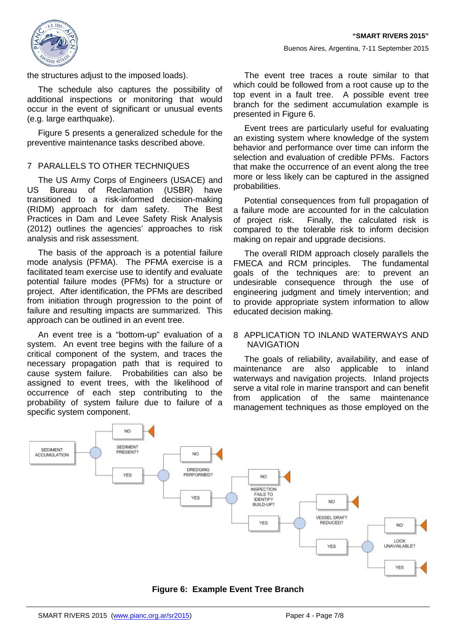

the structures adjust to the imposed loads).

The schedule also captures the possibility of additional inspections or monitoring that would occur in the event of significant or unusual events (e.g. large earthquake).

[Figure 5](#page-5-0) presents a generalized schedule for the preventive maintenance tasks described above.

## 7 PARALLELS TO OTHER TECHNIQUES

The US Army Corps of Engineers (USACE) and<br>US Bureau of Reclamation (USBR) have Bureau of Reclamation (USBR) have transitioned to a risk-informed decision-making (RIDM) approach for dam safety. The Best Practices in Dam and Levee Safety Risk Analysis (2012) outlines the agencies' approaches to risk analysis and risk assessment.

The basis of the approach is a potential failure mode analysis (PFMA). The PFMA exercise is a facilitated team exercise use to identify and evaluate potential failure modes (PFMs) for a structure or project. After identification, the PFMs are described from initiation through progression to the point of failure and resulting impacts are summarized. This approach can be outlined in an event tree.

An event tree is a "bottom-up" evaluation of a system. An event tree begins with the failure of a critical component of the system, and traces the necessary propagation path that is required to cause system failure. Probabilities can also be assigned to event trees, with the likelihood of occurrence of each step contributing to the probability of system failure due to failure of a specific system component.

The event tree traces a route similar to that which could be followed from a root cause up to the top event in a fault tree. A possible event tree branch for the sediment accumulation example is presented in [Figure 6.](#page-6-0)

Event trees are particularly useful for evaluating an existing system where knowledge of the system behavior and performance over time can inform the selection and evaluation of credible PFMs. Factors that make the occurrence of an event along the tree more or less likely can be captured in the assigned probabilities.

Potential consequences from full propagation of a failure mode are accounted for in the calculation of project risk. Finally, the calculated risk is compared to the tolerable risk to inform decision making on repair and upgrade decisions.

The overall RIDM approach closely parallels the FMECA and RCM principles. The fundamental goals of the techniques are: to prevent an undesirable consequence through the use of engineering judgment and timely intervention; and to provide appropriate system information to allow educated decision making.

#### 8 APPLICATION TO INLAND WATERWAYS AND **NAVIGATION**

The goals of reliability, availability, and ease of maintenance are also applicable to inland waterways and navigation projects. Inland projects serve a vital role in marine transport and can benefit from application of the same maintenance management techniques as those employed on the



<span id="page-6-0"></span>